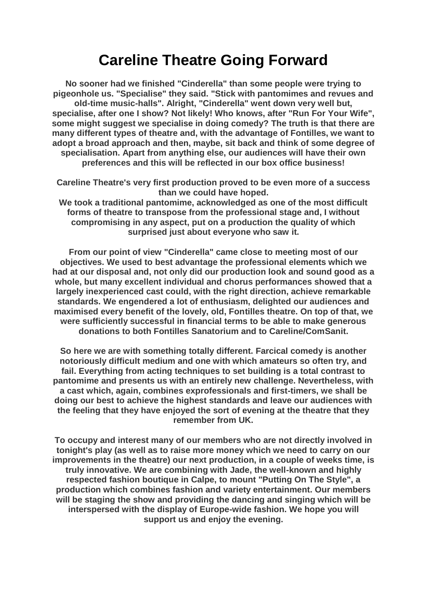## **Careline Theatre Going Forward**

**No sooner had we finished "Cinderella" than some people were trying to pigeonhole us. "Specialise" they said. "Stick with pantomimes and revues and old-time music-halls". Alright, "Cinderella" went down very well but, specialise, after one I show? Not likely! Who knows, after "Run For Your Wife", some might suggest we specialise in doing comedy? The truth is that there are many different types of theatre and, with the advantage of Fontilles, we want to adopt a broad approach and then, maybe, sit back and think of some degree of specialisation. Apart from anything else, our audiences will have their own preferences and this will be reflected in our box office business!**

**Careline Theatre's very first production proved to be even more of a success than we could have hoped.**

**We took a traditional pantomime, acknowledged as one of the most difficult forms of theatre to transpose from the professional stage and, I without compromising in any aspect, put on a production the quality of which surprised just about everyone who saw it.**

**From our point of view "Cinderella" came close to meeting most of our objectives. We used to best advantage the professional elements which we had at our disposal and, not only did our production look and sound good as a whole, but many excellent individual and chorus performances showed that a largely inexperienced cast could, with the right direction, achieve remarkable standards. We engendered a lot of enthusiasm, delighted our audiences and maximised every benefit of the lovely, old, Fontilles theatre. On top of that, we were sufficiently successful in financial terms to be able to make generous donations to both Fontilles Sanatorium and to Careline/ComSanit.**

**So here we are with something totally different. Farcical comedy is another notoriously difficult medium and one with which amateurs so often try, and fail. Everything from acting techniques to set building is a total contrast to pantomime and presents us with an entirely new challenge. Nevertheless, with a cast which, again, combines exprofessionals and first-timers, we shall be doing our best to achieve the highest standards and leave our audiences with the feeling that they have enjoyed the sort of evening at the theatre that they remember from UK.**

**To occupy and interest many of our members who are not directly involved in tonight's play (as well as to raise more money which we need to carry on our improvements in the theatre) our next production, in a couple of weeks time, is truly innovative. We are combining with Jade, the well-known and highly respected fashion boutique in Calpe, to mount "Putting On The Style", a production which combines fashion and variety entertainment. Our members will be staging the show and providing the dancing and singing which will be interspersed with the display of Europe-wide fashion. We hope you will support us and enjoy the evening.**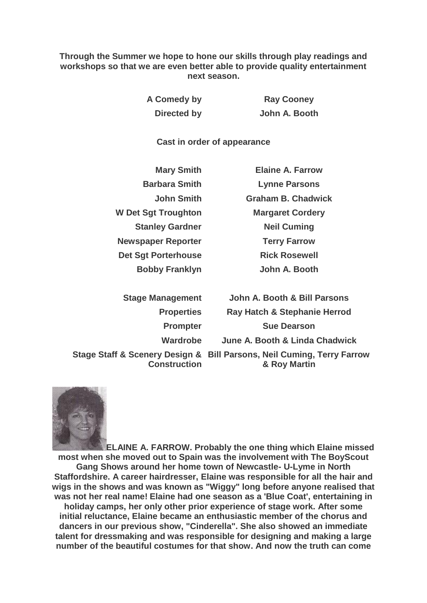**Through the Summer we hope to hone our skills through play readings and workshops so that we are even better able to provide quality entertainment next season.**

> **A Comedy by Ray Cooney Directed by John A. Booth**

**Cast in order of appearance**

| <b>Mary Smith</b>          |
|----------------------------|
| <b>Barbara Smith</b>       |
| <b>John Smith</b>          |
| <b>W Det Sgt Troughton</b> |
| <b>Stanley Gardner</b>     |
| <b>Newspaper Reporter</b>  |
| <b>Det Sgt Porterhouse</b> |
| <b>Bobby Franklyn</b>      |

**Flaine A. Farrow Lynne Parsons Graham B. Chadwick Margaret Cordery Neil Cuming Terry Farrow Rick Rosewell John A. Booth** 

| <b>Stage Management</b> | John A. Booth & Bill Parsons                                                           |
|-------------------------|----------------------------------------------------------------------------------------|
| <b>Properties</b>       | Ray Hatch & Stephanie Herrod                                                           |
| <b>Prompter</b>         | <b>Sue Dearson</b>                                                                     |
| <b>Wardrobe</b>         | June A. Booth & Linda Chadwick                                                         |
| <b>Construction</b>     | Stage Staff & Scenery Design & Bill Parsons, Neil Cuming, Terry Farrow<br>& Roy Martin |



**ELAINE A. FARROW. Probably the one thing which Elaine missed most when she moved out to Spain was the involvement with The BoyScout Gang Shows around her home town of Newcastle- U-Lyme in North Staffordshire. A career hairdresser, Elaine was responsible for all the hair and wigs in the shows and was known as "Wiggy" long before anyone realised that was not her real name! Elaine had one season as a 'Blue Coat', entertaining in holiday camps, her only other prior experience of stage work. After some initial reluctance, Elaine became an enthusiastic member of the chorus and dancers in our previous show, "Cinderella". She also showed an immediate talent for dressmaking and was responsible for designing and making a large number of the beautiful costumes for that show. And now the truth can come**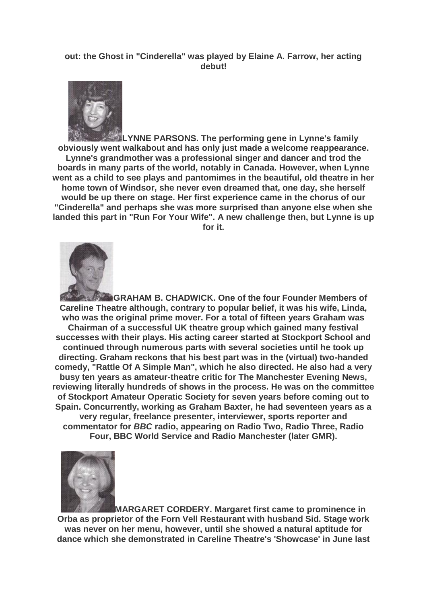## **out: the Ghost in "Cinderella" was played by Elaine A. Farrow, her acting debut!**



**LYNNE PARSONS. The performing gene in Lynne's family obviously went walkabout and has only just made a welcome reappearance. Lynne's grandmother was a professional singer and dancer and trod the boards in many parts of the world, notably in Canada. However, when Lynne went as a child to see plays and pantomimes in the beautiful, old theatre in her home town of Windsor, she never even dreamed that, one day, she herself would be up there on stage. Her first experience came in the chorus of our "Cinderella" and perhaps she was more surprised than anyone else when she landed this part in "Run For Your Wife". A new challenge then, but Lynne is up for it.**



**GRAHAM B. CHADWICK. One of the four Founder Members of Careline Theatre although, contrary to popular belief, it was his wife, Linda, who was the original prime mover. For a total of fifteen years Graham was Chairman of a successful UK theatre group which gained many festival successes with their plays. His acting career started at Stockport School and continued through numerous parts with several societies until he took up directing. Graham reckons that his best part was in the (virtual) two-handed comedy, "Rattle Of A Simple Man", which he also directed. He also had a very busy ten years as amateur-theatre critic for The Manchester Evening News, reviewing literally hundreds of shows in the process. He was on the committee of Stockport Amateur Operatic Society for seven years before coming out to Spain. Concurrently, working as Graham Baxter, he had seventeen years as a very regular, freelance presenter, interviewer, sports reporter and commentator for** *BBC* **radio, appearing on Radio Two, Radio Three, Radio Four, BBC World Service and Radio Manchester (later GMR).**



**MARGARET CORDERY. Margaret first came to prominence in Orba as proprietor of the Forn Vell Restaurant with husband Sid. Stage work was never on her menu, however, until she showed a natural aptitude for dance which she demonstrated in Careline Theatre's 'Showcase' in June last**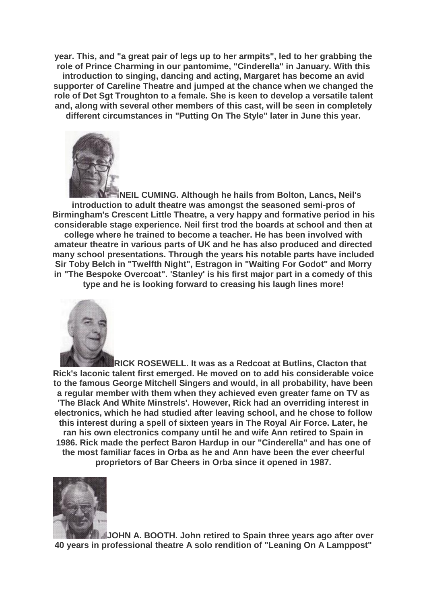**year. This, and "a great pair of legs up to her armpits", led to her grabbing the role of Prince Charming in our pantomime, "Cinderella" in January. With this introduction to singing, dancing and acting, Margaret has become an avid supporter of Careline Theatre and jumped at the chance when we changed the role of Det Sgt Troughton to a female. She is keen to develop a versatile talent and, along with several other members of this cast, will be seen in completely different circumstances in "Putting On The Style" later in June this year.**



**NEIL CUMING. Although he hails from Bolton, Lancs, Neil's introduction to adult theatre was amongst the seasoned semi-pros of Birmingham's Crescent Little Theatre, a very happy and formative period in his considerable stage experience. Neil first trod the boards at school and then at college where he trained to become a teacher. He has been involved with amateur theatre in various parts of UK and he has also produced and directed many school presentations. Through the years his notable parts have included Sir Toby Belch in "Twelfth Night", Estragon in "Waiting For Godot" and Morry in "The Bespoke Overcoat". 'Stanley' is his first major part in a comedy of this type and he is looking forward to creasing his laugh lines more!**



**RICK ROSEWELL. It was as a Redcoat at Butlins, Clacton that Rick's laconic talent first emerged. He moved on to add his considerable voice to the famous George Mitchell Singers and would, in all probability, have been a regular member with them when they achieved even greater fame on TV as 'The Black And White Minstrels'. However, Rick had an overriding interest in electronics, which he had studied after leaving school, and he chose to follow this interest during a spell of sixteen years in The Royal Air Force. Later, he ran his own electronics company until he and wife Ann retired to Spain in 1986. Rick made the perfect Baron Hardup in our "Cinderella" and has one of the most familiar faces in Orba as he and Ann have been the ever cheerful proprietors of Bar Cheers in Orba since it opened in 1987.**



**JOHN A. BOOTH. John retired to Spain three years ago after over 40 years in professional theatre A solo rendition of "Leaning On A Lamppost"**